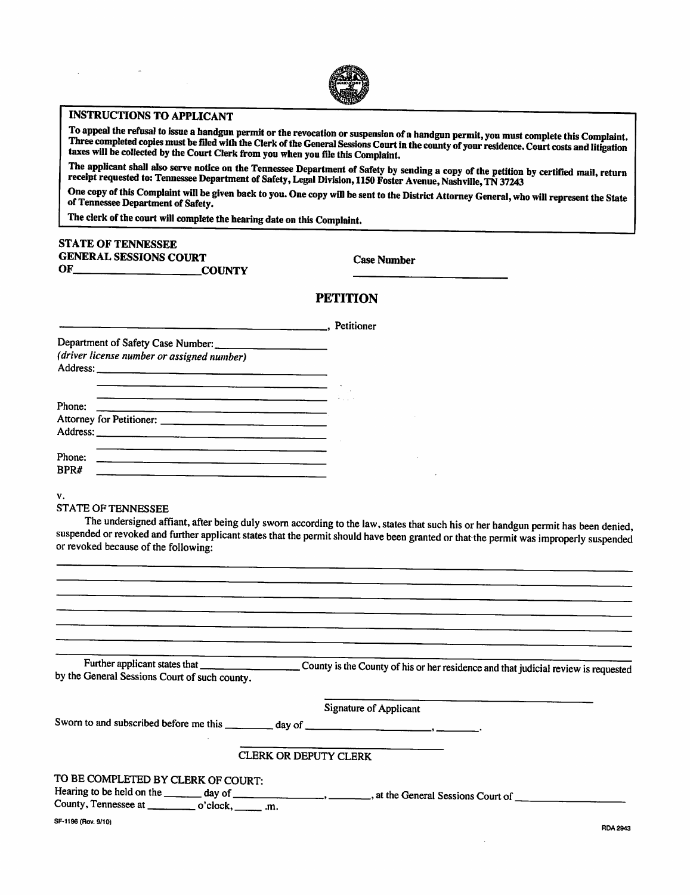

## INSTRUCTIONS TO APPLICANT

To appeal the refusal to issue a handgun permit or the revocation or suspension of a handgun permit, you must complete this Complaint. To appear the rerusario issue a namagum permit or the revocation or suspension or a namagum permit, you must complete this complanne.<br>Three completed copies must be filed with the Clerk of the General Sessions Court in the taxes will be collected by the Court Clerk from you when you file this Complaint.

The applicant shall also serve notice on the Tennessee Department of Safety by sending a copy of the petition by certified mail, return receipt requested to: Tennessee Department of Safety, Legal Division, 1150 Foster Avenue, Nashville, TN 37243

One copy of this Complaint will be given back to you. One copy will be sent to the District Attorney General, who will represent the State of Tennessee Department of Safety.

The clerk of the court will complete the hearing date on this Complaint.

## STATE OF TENNESSEE GENERAL SESSIONS COURT Case Number

OF COUNTY

## **PETITION**

|                                                                                                                                   | Petitioner |  |
|-----------------------------------------------------------------------------------------------------------------------------------|------------|--|
| Department of Safety Case Number:                                                                                                 |            |  |
| (driver license number or assigned number)                                                                                        |            |  |
|                                                                                                                                   |            |  |
| Phone:                                                                                                                            |            |  |
| Attorney for Petitioner:                                                                                                          |            |  |
|                                                                                                                                   |            |  |
|                                                                                                                                   |            |  |
| Phone:<br><u> Andreas Andreas Andreas Andreas Andreas Andreas Andreas Andreas Andreas Andreas Andreas Andreas Andreas Andreas</u> |            |  |
| <b>RPR#</b><br><u> 1980 - Andrea Andrew Maria (h. 1980).</u><br>2001 - Andrew Maria (h. 1980).                                    |            |  |
|                                                                                                                                   |            |  |

v.

## STATE OF TENNESSEE

The undersigned affiant, after being duly sworn according to the law, states that such his or her handgun permit has been denied, suspended or revoked and further applicant states that the permit should have been granted or that the permit was improperly suspended or revoked because of the following:

| by the General Sessions Court of such county.                                                |
|----------------------------------------------------------------------------------------------|
| <b>Signature of Applicant</b>                                                                |
|                                                                                              |
| <b>CLERK OR DEPUTY CLERK</b>                                                                 |
| TO BE COMPLETED BY CLERK OF COURT:<br>County, Tennessee at ____________ o'clock, _______ .m. |
| SF-1196 (Rev. 9/10)<br>RDA 2943                                                              |